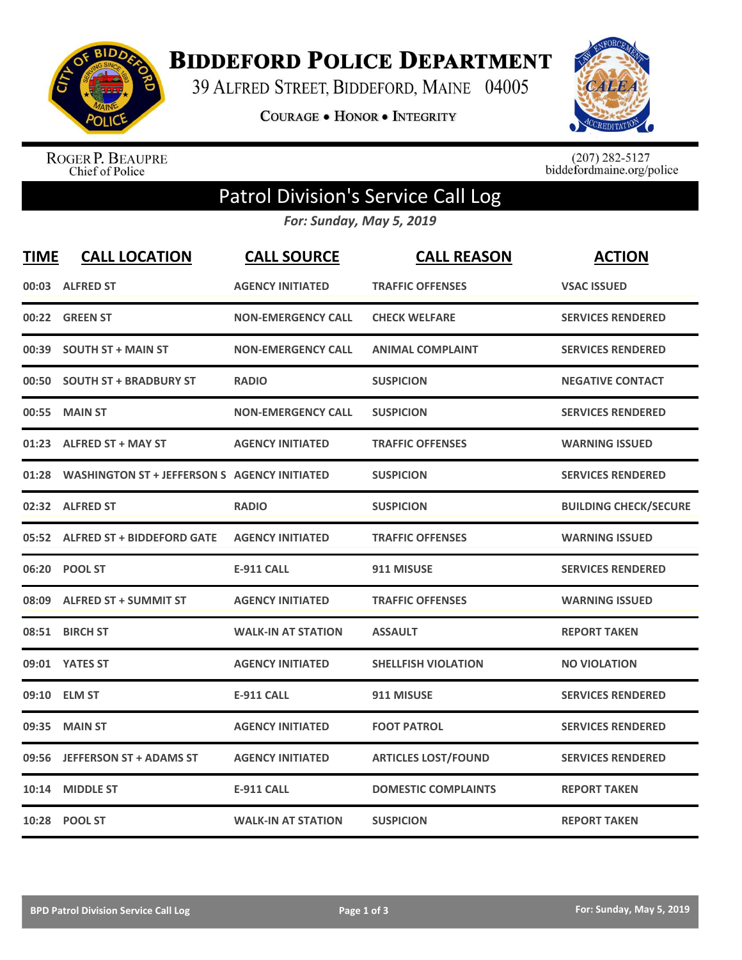

**BIDDEFORD POLICE DEPARTMENT** 

39 ALFRED STREET, BIDDEFORD, MAINE 04005

COURAGE . HONOR . INTEGRITY



ROGER P. BEAUPRE<br>Chief of Police

 $(207)$  282-5127<br>biddefordmaine.org/police

## Patrol Division's Service Call Log

*For: Sunday, May 5, 2019*

| <b>TIME</b> | <b>CALL LOCATION</b>                               | <b>CALL SOURCE</b>        | <b>CALL REASON</b>         | <b>ACTION</b>                |
|-------------|----------------------------------------------------|---------------------------|----------------------------|------------------------------|
|             | 00:03 ALFRED ST                                    | <b>AGENCY INITIATED</b>   | <b>TRAFFIC OFFENSES</b>    | <b>VSAC ISSUED</b>           |
|             | 00:22 GREEN ST                                     | <b>NON-EMERGENCY CALL</b> | <b>CHECK WELFARE</b>       | <b>SERVICES RENDERED</b>     |
|             | 00:39 SOUTH ST + MAIN ST                           | <b>NON-EMERGENCY CALL</b> | <b>ANIMAL COMPLAINT</b>    | <b>SERVICES RENDERED</b>     |
|             | 00:50 SOUTH ST + BRADBURY ST                       | <b>RADIO</b>              | <b>SUSPICION</b>           | <b>NEGATIVE CONTACT</b>      |
| 00:55       | <b>MAIN ST</b>                                     | <b>NON-EMERGENCY CALL</b> | <b>SUSPICION</b>           | <b>SERVICES RENDERED</b>     |
|             | 01:23 ALFRED ST + MAY ST                           | <b>AGENCY INITIATED</b>   | <b>TRAFFIC OFFENSES</b>    | <b>WARNING ISSUED</b>        |
|             | 01:28 WASHINGTON ST + JEFFERSON S AGENCY INITIATED |                           | <b>SUSPICION</b>           | <b>SERVICES RENDERED</b>     |
|             | 02:32 ALFRED ST                                    | <b>RADIO</b>              | <b>SUSPICION</b>           | <b>BUILDING CHECK/SECURE</b> |
|             | 05:52 ALFRED ST + BIDDEFORD GATE                   | <b>AGENCY INITIATED</b>   | <b>TRAFFIC OFFENSES</b>    | <b>WARNING ISSUED</b>        |
|             | 06:20 POOL ST                                      | <b>E-911 CALL</b>         | 911 MISUSE                 | <b>SERVICES RENDERED</b>     |
|             | 08:09 ALFRED ST + SUMMIT ST                        | <b>AGENCY INITIATED</b>   | <b>TRAFFIC OFFENSES</b>    | <b>WARNING ISSUED</b>        |
|             | 08:51 BIRCH ST                                     | <b>WALK-IN AT STATION</b> | <b>ASSAULT</b>             | <b>REPORT TAKEN</b>          |
|             | 09:01 YATES ST                                     | <b>AGENCY INITIATED</b>   | <b>SHELLFISH VIOLATION</b> | <b>NO VIOLATION</b>          |
|             | 09:10 ELM ST                                       | <b>E-911 CALL</b>         | 911 MISUSE                 | <b>SERVICES RENDERED</b>     |
| 09:35       | <b>MAIN ST</b>                                     | <b>AGENCY INITIATED</b>   | <b>FOOT PATROL</b>         | <b>SERVICES RENDERED</b>     |
| 09:56       | <b>JEFFERSON ST + ADAMS ST</b>                     | <b>AGENCY INITIATED</b>   | <b>ARTICLES LOST/FOUND</b> | <b>SERVICES RENDERED</b>     |
| 10:14       | <b>MIDDLE ST</b>                                   | <b>E-911 CALL</b>         | <b>DOMESTIC COMPLAINTS</b> | <b>REPORT TAKEN</b>          |
|             | 10:28 POOL ST                                      | <b>WALK-IN AT STATION</b> | <b>SUSPICION</b>           | <b>REPORT TAKEN</b>          |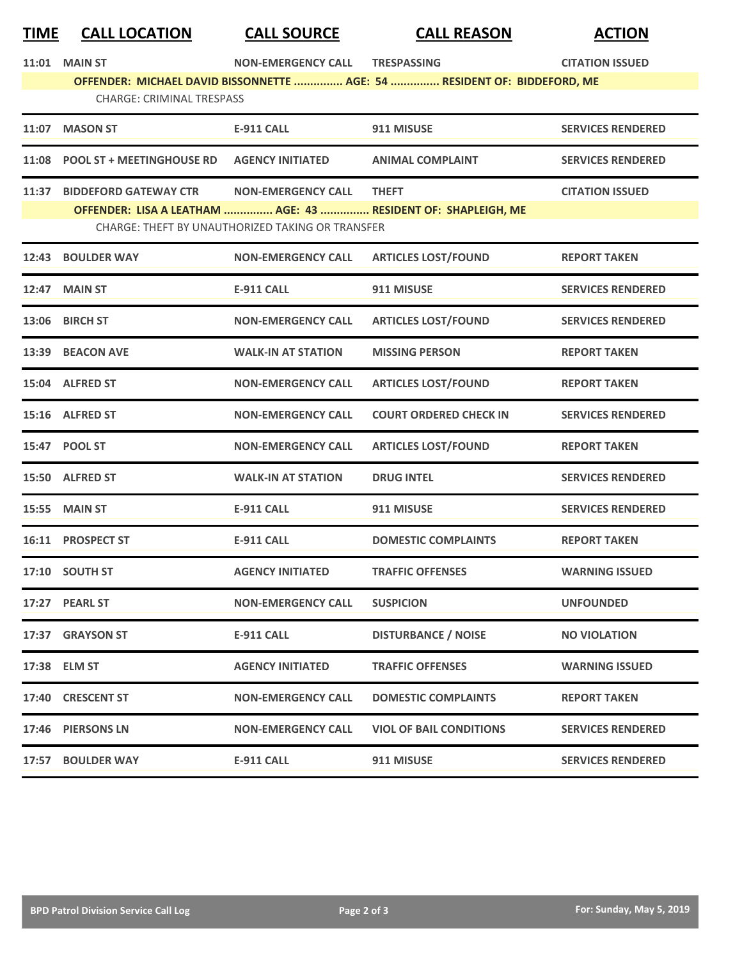| <u>TIME</u>                                                                                                  | <b>CALL LOCATION</b>             | <b>CALL SOURCE</b>                               | <b>CALL REASON</b>                                            | <b>ACTION</b>            |  |  |  |
|--------------------------------------------------------------------------------------------------------------|----------------------------------|--------------------------------------------------|---------------------------------------------------------------|--------------------------|--|--|--|
|                                                                                                              | 11:01 MAIN ST                    | <b>NON-EMERGENCY CALL</b>                        | <b>TRESPASSING</b>                                            | <b>CITATION ISSUED</b>   |  |  |  |
| OFFENDER: MICHAEL DAVID BISSONNETTE  AGE: 54  RESIDENT OF: BIDDEFORD, ME<br><b>CHARGE: CRIMINAL TRESPASS</b> |                                  |                                                  |                                                               |                          |  |  |  |
| 11:07                                                                                                        | <b>MASON ST</b>                  | <b>E-911 CALL</b>                                | 911 MISUSE                                                    | <b>SERVICES RENDERED</b> |  |  |  |
| 11:08                                                                                                        | <b>POOL ST + MEETINGHOUSE RD</b> | <b>AGENCY INITIATED</b>                          | <b>ANIMAL COMPLAINT</b>                                       | <b>SERVICES RENDERED</b> |  |  |  |
| 11:37                                                                                                        | <b>BIDDEFORD GATEWAY CTR</b>     | <b>NON-EMERGENCY CALL</b>                        | <b>THEFT</b>                                                  | <b>CITATION ISSUED</b>   |  |  |  |
|                                                                                                              |                                  | CHARGE: THEFT BY UNAUTHORIZED TAKING OR TRANSFER | OFFENDER: LISA A LEATHAM  AGE: 43  RESIDENT OF: SHAPLEIGH, ME |                          |  |  |  |
| 12:43                                                                                                        | <b>BOULDER WAY</b>               | <b>NON-EMERGENCY CALL</b>                        | <b>ARTICLES LOST/FOUND</b>                                    | <b>REPORT TAKEN</b>      |  |  |  |
| 12:47                                                                                                        | <b>MAIN ST</b>                   | <b>E-911 CALL</b>                                | 911 MISUSE                                                    | <b>SERVICES RENDERED</b> |  |  |  |
|                                                                                                              | 13:06 BIRCH ST                   | <b>NON-EMERGENCY CALL</b>                        | <b>ARTICLES LOST/FOUND</b>                                    | <b>SERVICES RENDERED</b> |  |  |  |
|                                                                                                              | 13:39 BEACON AVE                 | <b>WALK-IN AT STATION</b>                        | <b>MISSING PERSON</b>                                         | <b>REPORT TAKEN</b>      |  |  |  |
|                                                                                                              | 15:04 ALFRED ST                  | <b>NON-EMERGENCY CALL</b>                        | <b>ARTICLES LOST/FOUND</b>                                    | <b>REPORT TAKEN</b>      |  |  |  |
|                                                                                                              | 15:16 ALFRED ST                  | <b>NON-EMERGENCY CALL</b>                        | <b>COURT ORDERED CHECK IN</b>                                 | <b>SERVICES RENDERED</b> |  |  |  |
|                                                                                                              | 15:47 POOL ST                    | <b>NON-EMERGENCY CALL</b>                        | <b>ARTICLES LOST/FOUND</b>                                    | <b>REPORT TAKEN</b>      |  |  |  |
|                                                                                                              | 15:50 ALFRED ST                  | <b>WALK-IN AT STATION</b>                        | <b>DRUG INTEL</b>                                             | <b>SERVICES RENDERED</b> |  |  |  |
| 15:55                                                                                                        | <b>MAIN ST</b>                   | <b>E-911 CALL</b>                                | 911 MISUSE                                                    | <b>SERVICES RENDERED</b> |  |  |  |
|                                                                                                              | 16:11 PROSPECT ST                | <b>E-911 CALL</b>                                | <b>DOMESTIC COMPLAINTS</b>                                    | <b>REPORT TAKEN</b>      |  |  |  |
|                                                                                                              | 17:10 SOUTH ST                   | <b>AGENCY INITIATED</b>                          | <b>TRAFFIC OFFENSES</b>                                       | <b>WARNING ISSUED</b>    |  |  |  |
|                                                                                                              | 17:27 PEARL ST                   | <b>NON-EMERGENCY CALL</b>                        | <b>SUSPICION</b>                                              | <b>UNFOUNDED</b>         |  |  |  |
|                                                                                                              | 17:37 GRAYSON ST                 | E-911 CALL                                       | <b>DISTURBANCE / NOISE</b>                                    | <b>NO VIOLATION</b>      |  |  |  |
|                                                                                                              | 17:38 ELM ST                     | <b>AGENCY INITIATED</b>                          | <b>TRAFFIC OFFENSES</b>                                       | <b>WARNING ISSUED</b>    |  |  |  |
|                                                                                                              | 17:40 CRESCENT ST                | <b>NON-EMERGENCY CALL</b>                        | <b>DOMESTIC COMPLAINTS</b>                                    | <b>REPORT TAKEN</b>      |  |  |  |
|                                                                                                              | 17:46 PIERSONS LN                | <b>NON-EMERGENCY CALL</b>                        | <b>VIOL OF BAIL CONDITIONS</b>                                | <b>SERVICES RENDERED</b> |  |  |  |
|                                                                                                              | 17:57 BOULDER WAY                | <b>E-911 CALL</b>                                | 911 MISUSE                                                    | <b>SERVICES RENDERED</b> |  |  |  |
|                                                                                                              |                                  |                                                  |                                                               |                          |  |  |  |